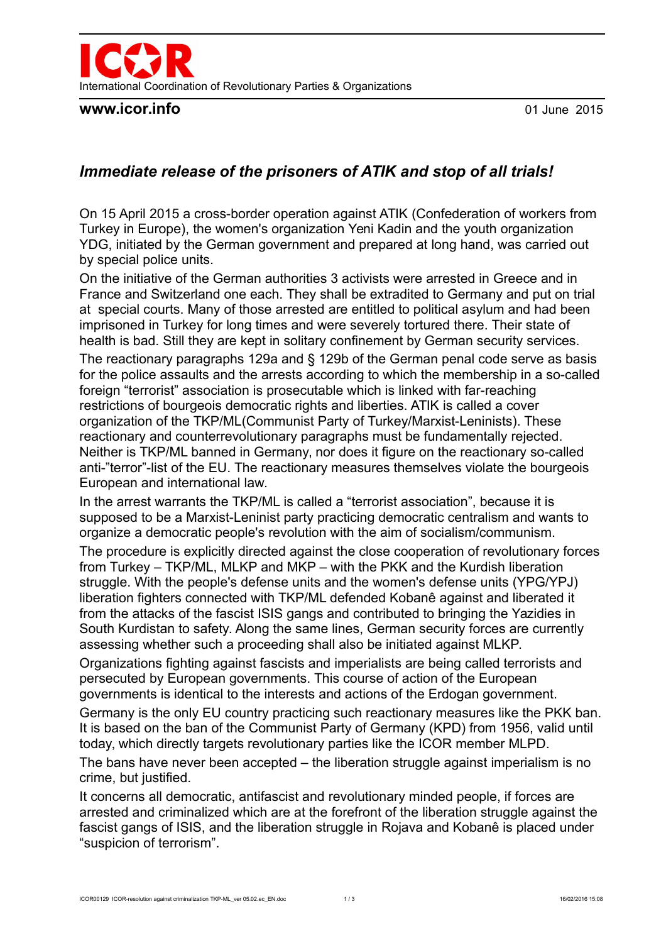

### **www.icor.info** 01 June 2015

# *Immediate release of the prisoners of ATIK and stop of all trials!*

On 15 April 2015 a cross-border operation against ATIK (Confederation of workers from Turkey in Europe), the women's organization Yeni Kadin and the youth organization YDG, initiated by the German government and prepared at long hand, was carried out by special police units.

On the initiative of the German authorities 3 activists were arrested in Greece and in France and Switzerland one each. They shall be extradited to Germany and put on trial at special courts. Many of those arrested are entitled to political asylum and had been imprisoned in Turkey for long times and were severely tortured there. Their state of health is bad. Still they are kept in solitary confinement by German security services.

The reactionary paragraphs 129a and § 129b of the German penal code serve as basis for the police assaults and the arrests according to which the membership in a so-called foreign "terrorist" association is prosecutable which is linked with far-reaching restrictions of bourgeois democratic rights and liberties. ATIK is called a cover organization of the TKP/ML(Communist Party of Turkey/Marxist-Leninists). These reactionary and counterrevolutionary paragraphs must be fundamentally rejected. Neither is TKP/ML banned in Germany, nor does it figure on the reactionary so-called anti-"terror"-list of the EU. The reactionary measures themselves violate the bourgeois European and international law.

In the arrest warrants the TKP/ML is called a "terrorist association", because it is supposed to be a Marxist-Leninist party practicing democratic centralism and wants to organize a democratic people's revolution with the aim of socialism/communism.

The procedure is explicitly directed against the close cooperation of revolutionary forces from Turkey – TKP/ML, MLKP and MKP – with the PKK and the Kurdish liberation struggle. With the people's defense units and the women's defense units (YPG/YPJ) liberation fighters connected with TKP/ML defended Kobanê against and liberated it from the attacks of the fascist ISIS gangs and contributed to bringing the Yazidies in South Kurdistan to safety. Along the same lines, German security forces are currently assessing whether such a proceeding shall also be initiated against MLKP.

Organizations fighting against fascists and imperialists are being called terrorists and persecuted by European governments. This course of action of the European governments is identical to the interests and actions of the Erdogan government.

Germany is the only EU country practicing such reactionary measures like the PKK ban. It is based on the ban of the Communist Party of Germany (KPD) from 1956, valid until today, which directly targets revolutionary parties like the ICOR member MLPD.

The bans have never been accepted – the liberation struggle against imperialism is no crime, but justified.

It concerns all democratic, antifascist and revolutionary minded people, if forces are arrested and criminalized which are at the forefront of the liberation struggle against the fascist gangs of ISIS, and the liberation struggle in Rojava and Kobanê is placed under "suspicion of terrorism".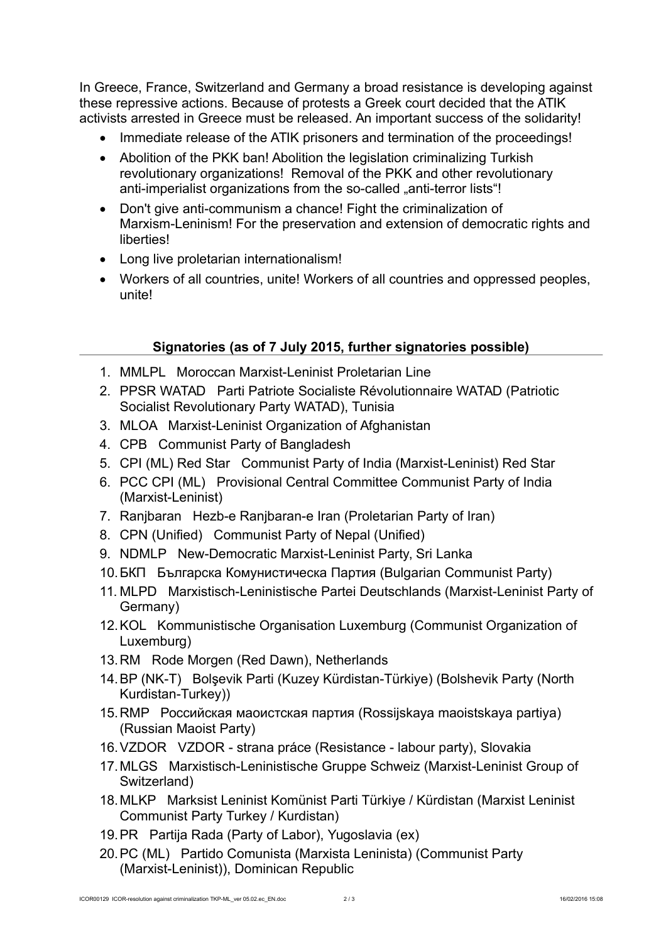In Greece, France, Switzerland and Germany a broad resistance is developing against these repressive actions. Because of protests a Greek court decided that the ATIK activists arrested in Greece must be released. An important success of the solidarity!

- Immediate release of the ATIK prisoners and termination of the proceedings!
- Abolition of the PKK ban! Abolition the legislation criminalizing Turkish revolutionary organizations! Removal of the PKK and other revolutionary anti-imperialist organizations from the so-called ..anti-terror lists"!
- Don't give anti-communism a chance! Fight the criminalization of Marxism-Leninism! For the preservation and extension of democratic rights and liberties!
- Long live proletarian internationalism!
- Workers of all countries, unite! Workers of all countries and oppressed peoples, unite!

## **Signatories (as of 7 July 2015, further signatories possible)**

- 1. MMLPL Moroccan Marxist-Leninist Proletarian Line
- 2. PPSR WATAD Parti Patriote Socialiste Révolutionnaire WATAD (Patriotic Socialist Revolutionary Party WATAD), Tunisia
- 3. MLOA Marxist-Leninist Organization of Afghanistan
- 4. CPB Communist Party of Bangladesh
- 5. CPI (ML) Red Star Communist Party of India (Marxist-Leninist) Red Star
- 6. PCC CPI (ML) Provisional Central Committee Communist Party of India (Marxist-Leninist)
- 7. Ranjbaran Hezb-e Ranjbaran-e Iran (Proletarian Party of Iran)
- 8. CPN (Unified) Communist Party of Nepal (Unified)
- 9. NDMLP New-Democratic Marxist-Leninist Party, Sri Lanka
- 10.БКП Българска Комунистическа Партия (Bulgarian Communist Party)
- 11. MLPD Marxistisch-Leninistische Partei Deutschlands (Marxist-Leninist Party of Germany)
- 12.KOL Kommunistische Organisation Luxemburg (Communist Organization of Luxemburg)
- 13.RM Rode Morgen (Red Dawn), Netherlands
- 14.BP (NK-T) Bolşevik Parti (Kuzey Kürdistan-Türkiye) (Bolshevik Party (North Kurdistan-Turkey))
- 15.RMP Российская маоистская партия (Rossijskaya maoistskaya partiya) (Russian Maoist Party)
- 16.VZDOR VZDOR strana práce (Resistance labour party), Slovakia
- 17.MLGS Marxistisch-Leninistische Gruppe Schweiz (Marxist-Leninist Group of Switzerland)
- 18.MLKP Marksist Leninist Komünist Parti Türkiye / Kürdistan (Marxist Leninist Communist Party Turkey / Kurdistan)
- 19.PR Partija Rada (Party of Labor), Yugoslavia (ex)
- 20.PC (ML) Partido Comunista (Marxista Leninista) (Communist Party (Marxist-Leninist)), Dominican Republic